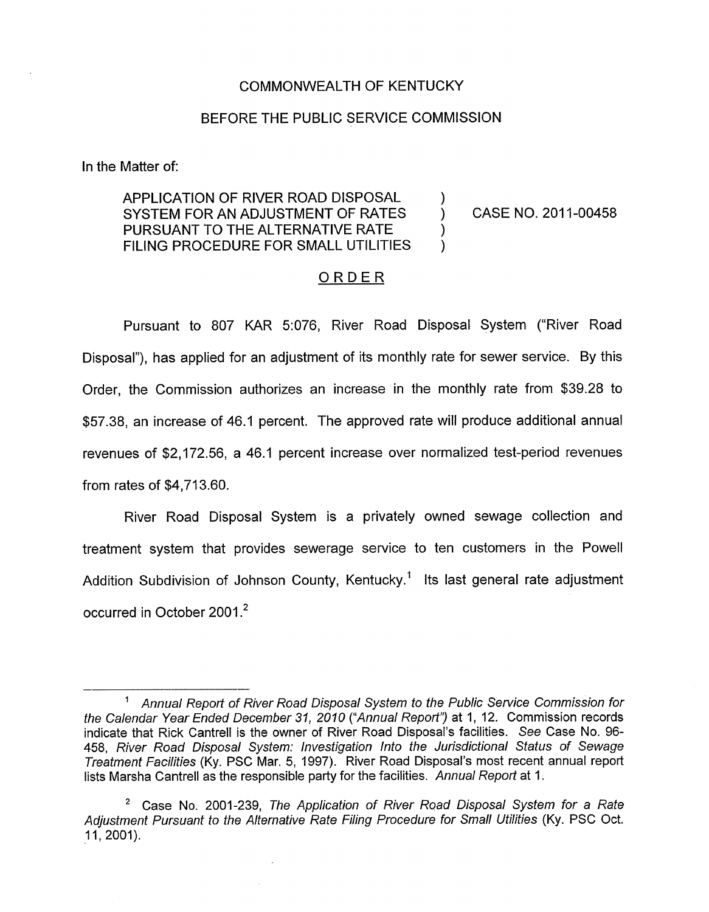## COMMONWEALTH OF KENTUCKY

## BEFORE THE PUBLIC SERVICE COMMISSION

In the Matter of:

## APPLICATION OF RIVER ROAD DISPOSAL SYSTEM FOR AN ADJUSTMENT OF RATES PURSUANT TO THE ALTERNATIVE RATE FILING PROCEDURE FOR SMALL UTILITIES

CASE NO. 2011-00458

)<br>.

 $\overline{)}$ )

## ORDER

Pursuant to 807 KAR 5:076, River Road Disposal System ("River Road Disposal"), has applied for an adjustment of its monthly rate for sewer service. By this Order, the Commission authorizes an increase in the monthly rate from \$39.28 to \$57.38, an increase of 46.1 percent. The approved rate will produce additional annual revenues of \$2,172.56, a 46.1 percent increase over normalized test-period revenues from rates of \$4,713.60.

River Road Disposal System is a privately owned sewage collection and treatment system that provides sewerage service to ten customers in the Powell Addition Subdivision of Johnson County, Kentucky.<sup>1</sup> Its last general rate adjustment occurred in October 2001.<sup>2</sup>

<sup>&#</sup>x27; *Annual Report of River Road Disposal System to the Public Service Commission for the Calendar Year Ended December 31, 2010 ("Annual Reporf')* at 1, 12. Commission records indicate that Rick Cantrell is the owner of River Road Disposal's facilities. *See* Case No. 96- 458, *River Road Disposal System: Investigation Into the Jurisdictional Status of Sewage Treatment Facilities* (Ky. PSC Mar. 5, 1997). River Road Disposal's most recent annual report lists Marsha Cantrell as the responsible party for the facilities. *Annual Report* at 1.

<sup>\*</sup> Case No. 2001-239, *The Application of River Road Disposal System for a Rate*  Adjustment Pursuant to the Alternative Rate Filing Procedure for Small Utilities (Ky. PSC Oct. 11, 2001).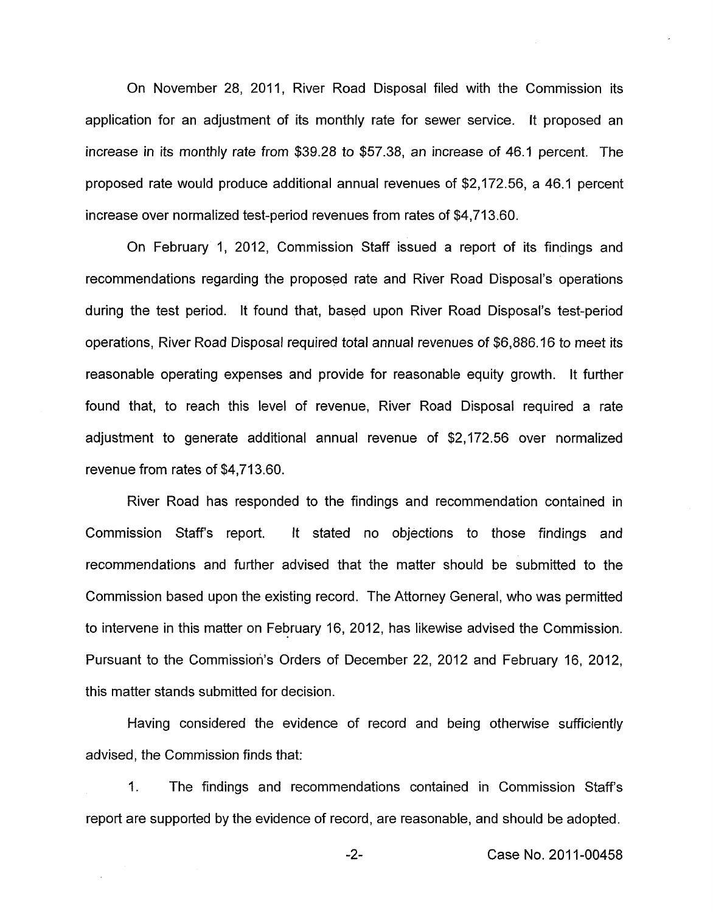On November 28, 2011, River Road Disposal filed with the Commission its application for an adjustment of its monthly rate for sewer service. It proposed an increase in its monthly rate from \$39.28 to \$57.38, an increase of 46.1 percent. The proposed rate would produce additional annual revenues of \$2,172.56, a 46.1 percent increase over normalized test-period revenues from rates of \$4,713.60.

On February I, 2012, Commission Staff issued a report of its findings and recommendations regarding the proposed rate and River Road Disposal's operations during the test period. It found that, based upon River Road Disposal's test-period operations, River Road Disposal required total annual revenues *of* \$6,886.16 to meet its reasonable operating expenses and provide for reasonable equity growth. It further found that, to reach this level of revenue, River Road Disposal required a rate adjustment to generate additional annual revenue of \$2,172.56 over normalized revenue from rates of \$4,713.60.

River Road has responded to the findings and recommendation contained in Commission Staffs report. It stated no objections to those findings and recommendations and further advised that the matter should be submitted to the Commission based upon the existing record. The Attorney General, who was permitted to intervene in this matter on February 16, 2012, has likewise advised the Commission. Pursuant to the Commission's Orders of December 22, 2012 and February 16, 2012, this matter stands submitted for decision.

Having considered the evidence of record and being otherwise sufficiently advised, the Commission finds that:

1. The findings and recommendations contained in Commission Staffs report are supported by the evidence of record, are reasonable, and should be adopted.

-2- Case No. 201 1-00458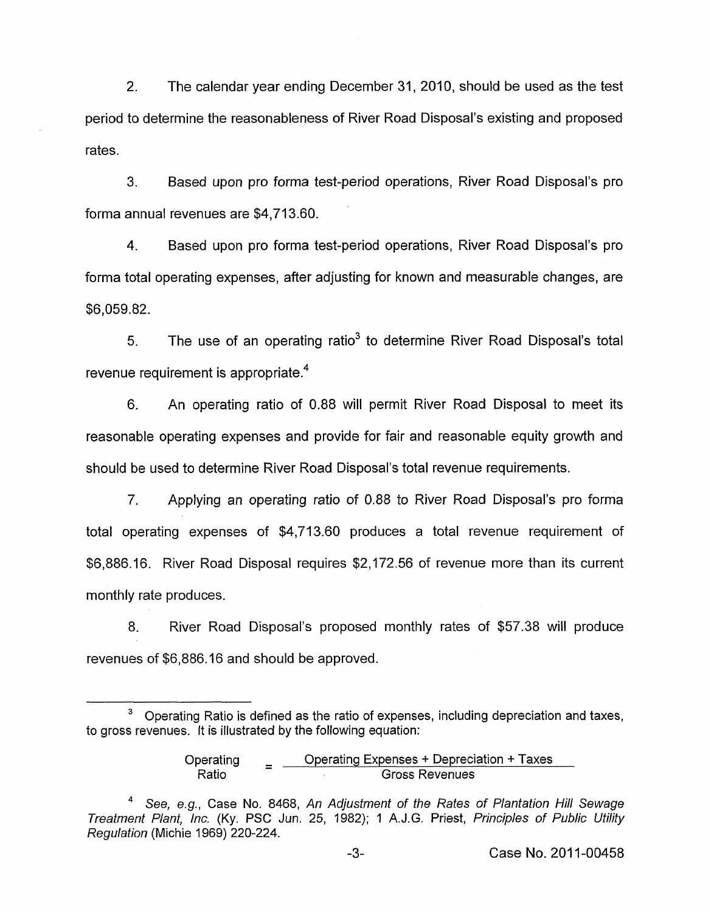2. The calendar year ending December 31, 2010, should be used as the test period to determine the reasonableness of River Road Disposal's existing and proposed rates.

**3.** Based upon pro forma test-period operations, River Road Disposal's pro forma annual revenues are \$4,713.60.

4. Based upon pro forma test-period operations, River Road Disposal's pro forma total operating expenses, after adjusting for known and measurable changes, are \$6,059.82.

5. The use of an operating ratio<sup>3</sup> to determine River Road Disposal's total revenue requirement is appropriate. $4$ 

6. An operating ratio of 0.88 will permit River Road Disposal to meet its reasonable operating expenses and provide for fair and reasonable equity growth and should be used to determine River Road Disposal's total revenue requirements.

7. Applying an operating ratio of 0.88 to River Road Disposal's pro forma total operating expenses of \$4,713.60 produces a total revenue requirement of \$6,886.16. River Road Disposal requires \$2,172.56 of revenue more than its current monthly rate produces.

8. River Road Disposal's proposed monthly rates of \$57.38 will produce revenues of \$6,886.16 and should be approved.

Operating  $=$  Operating Expenses + Depreciation + Taxes<br>Ratio - Gross Revenues Gross Revenues

Operating Ratio is defined as the ratio of expenses, including depreciation and taxes, **<sup>3</sup>** to gross revenues. It is illustrated by the following equation:

*See, e.g.,* Case No. 8468, *An Adjustment of the Rates of Plantation Hill Sewage Treatment Plant, Inc.* (Ky. PSC Jun. 25, 4982); I A.J.G. Priest, *Principles of Public Utility Regulation* (Michie 1969) 220-224.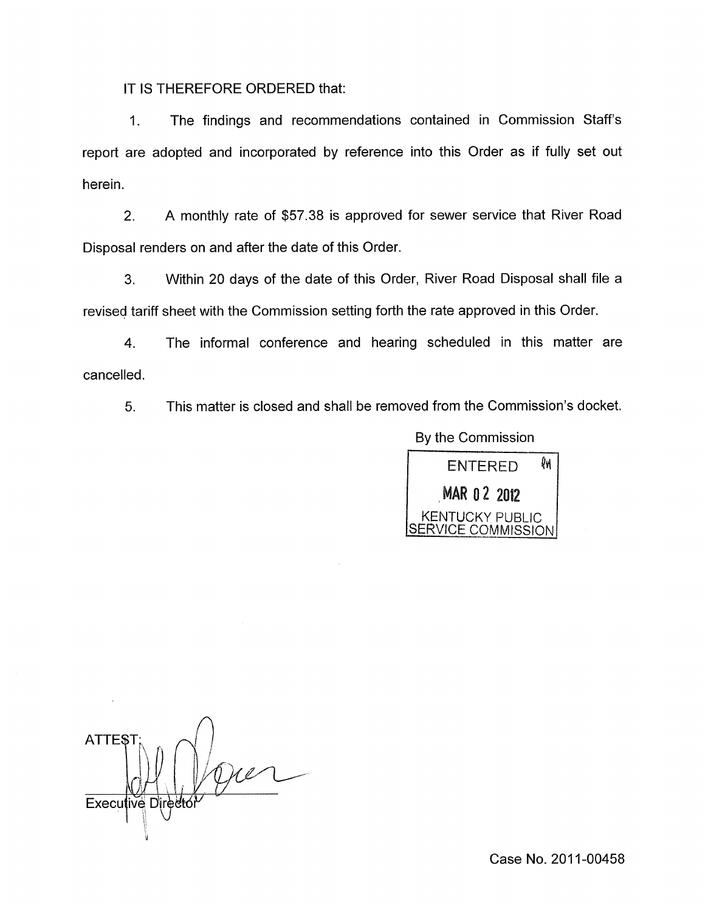IT IS THEREFORE ORDERED that:

1. The findings and recommendations contained in Commission Staffs report are adopted and incorporated by reference into this Order as if fully set out herein.

2. A monthly rate of \$57.38 is approved for sewer service that River Road Disposal renders on and after the date of this Order.

3. Within 20 days of the date of this Order, River Road Disposal shall file a revised tariff sheet with the Commission setting forth the rate approved in this Order.

**4.** The informal conference and hearing scheduled in this matter are cancelled.

5. This matter is closed and shall be removed from the Commission's docket.



**ATTEST** Executive Directo U

Case No. 2011-00458